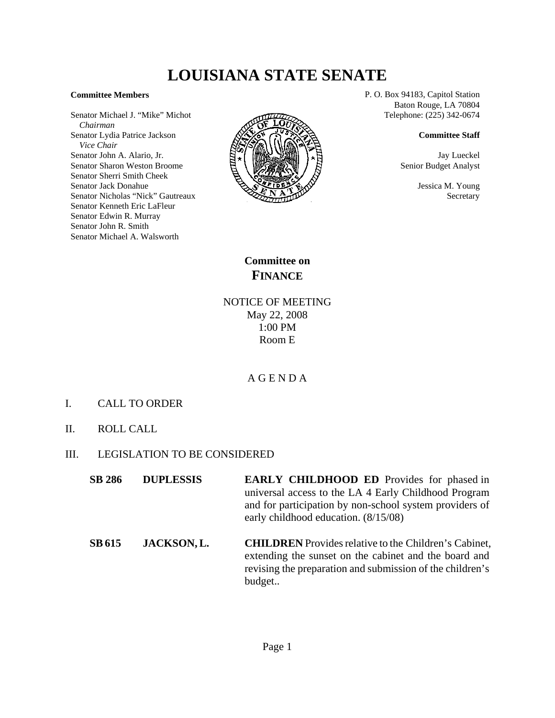# **LOUISIANA STATE SENATE**

#### **Committee Members**

Senator Michael J. "Mike" Michot  *Chairman* Senator Lydia Patrice Jackson  *Vice Chair* Senator John A. Alario, Jr. Senator Sharon Weston Broome Senator Sherri Smith Cheek Senator Jack Donahue Senator Nicholas "Nick" Gautreaux Senator Kenneth Eric LaFleur Senator Edwin R. Murray Senator John R. Smith Senator Michael A. Walsworth



P. O. Box 94183, Capitol Station Baton Rouge, LA 70804 Telephone: (225) 342-0674

#### **Committee Staff**

Jay Lueckel Senior Budget Analyst

> Jessica M. Young **Secretary**

**Committee on FINANCE**

NOTICE OF MEETING May 22, 2008 1:00 PM Room E

### A G E N D A

- I. CALL TO ORDER
- II. ROLL CALL
- III. LEGISLATION TO BE CONSIDERED
	- **SB 286 DUPLESSIS EARLY CHILDHOOD ED** Provides for phased in universal access to the LA 4 Early Childhood Program and for participation by non-school system providers of early childhood education. (8/15/08)
	- **SB 615 JACKSON, L. CHILDREN** Provides relative to the Children's Cabinet, extending the sunset on the cabinet and the board and revising the preparation and submission of the children's budget..